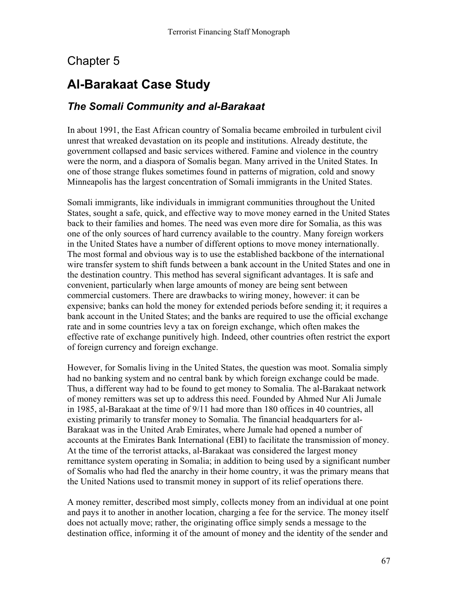## Chapter 5

# **Al-Barakaat Case Study**

#### *The Somali Community and al-Barakaat*

In about 1991, the East African country of Somalia became embroiled in turbulent civil unrest that wreaked devastation on its people and institutions. Already destitute, the government collapsed and basic services withered. Famine and violence in the country were the norm, and a diaspora of Somalis began. Many arrived in the United States. In one of those strange flukes sometimes found in patterns of migration, cold and snowy Minneapolis has the largest concentration of Somali immigrants in the United States.

Somali immigrants, like individuals in immigrant communities throughout the United States, sought a safe, quick, and effective way to move money earned in the United States back to their families and homes. The need was even more dire for Somalia, as this was one of the only sources of hard currency available to the country. Many foreign workers in the United States have a number of different options to move money internationally. The most formal and obvious way is to use the established backbone of the international wire transfer system to shift funds between a bank account in the United States and one in the destination country. This method has several significant advantages. It is safe and convenient, particularly when large amounts of money are being sent between commercial customers. There are drawbacks to wiring money, however: it can be expensive; banks can hold the money for extended periods before sending it; it requires a bank account in the United States; and the banks are required to use the official exchange rate and in some countries levy a tax on foreign exchange, which often makes the effective rate of exchange punitively high. Indeed, other countries often restrict the export of foreign currency and foreign exchange.

However, for Somalis living in the United States, the question was moot. Somalia simply had no banking system and no central bank by which foreign exchange could be made. Thus, a different way had to be found to get money to Somalia. The al-Barakaat network of money remitters was set up to address this need. Founded by Ahmed Nur Ali Jumale in 1985, al-Barakaat at the time of 9/11 had more than 180 offices in 40 countries, all existing primarily to transfer money to Somalia. The financial headquarters for al-Barakaat was in the United Arab Emirates, where Jumale had opened a number of accounts at the Emirates Bank International (EBI) to facilitate the transmission of money. At the time of the terrorist attacks, al-Barakaat was considered the largest money remittance system operating in Somalia; in addition to being used by a significant number of Somalis who had fled the anarchy in their home country, it was the primary means that the United Nations used to transmit money in support of its relief operations there.

A money remitter, described most simply, collects money from an individual at one point and pays it to another in another location, charging a fee for the service. The money itself does not actually move; rather, the originating office simply sends a message to the destination office, informing it of the amount of money and the identity of the sender and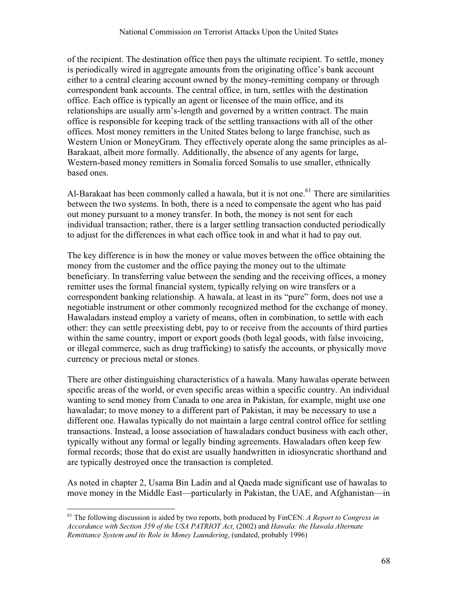of the recipient. The destination office then pays the ultimate recipient. To settle, money is periodically wired in aggregate amounts from the originating office's bank account either to a central clearing account owned by the money-remitting company or through correspondent bank accounts. The central office, in turn, settles with the destination office. Each office is typically an agent or licensee of the main office, and its relationships are usually arm's-length and governed by a written contract. The main office is responsible for keeping track of the settling transactions with all of the other offices. Most money remitters in the United States belong to large franchise, such as Western Union or MoneyGram. They effectively operate along the same principles as al-Barakaat, albeit more formally. Additionally, the absence of any agents for large, Western-based money remitters in Somalia forced Somalis to use smaller, ethnically based ones.

Al-Barakaat has been commonly called a hawala, but it is not one.<sup>61</sup> There are similarities between the two systems. In both, there is a need to compensate the agent who has paid out money pursuant to a money transfer. In both, the money is not sent for each individual transaction; rather, there is a larger settling transaction conducted periodically to adjust for the differences in what each office took in and what it had to pay out.

The key difference is in how the money or value moves between the office obtaining the money from the customer and the office paying the money out to the ultimate beneficiary. In transferring value between the sending and the receiving offices, a money remitter uses the formal financial system, typically relying on wire transfers or a correspondent banking relationship. A hawala, at least in its "pure" form, does not use a negotiable instrument or other commonly recognized method for the exchange of money. Hawaladars instead employ a variety of means, often in combination, to settle with each other: they can settle preexisting debt, pay to or receive from the accounts of third parties within the same country, import or export goods (both legal goods, with false invoicing, or illegal commerce, such as drug trafficking) to satisfy the accounts, or physically move currency or precious metal or stones.

There are other distinguishing characteristics of a hawala. Many hawalas operate between specific areas of the world, or even specific areas within a specific country. An individual wanting to send money from Canada to one area in Pakistan, for example, might use one hawaladar; to move money to a different part of Pakistan, it may be necessary to use a different one. Hawalas typically do not maintain a large central control office for settling transactions. Instead, a loose association of hawaladars conduct business with each other, typically without any formal or legally binding agreements. Hawaladars often keep few formal records; those that do exist are usually handwritten in idiosyncratic shorthand and are typically destroyed once the transaction is completed.

As noted in chapter 2, Usama Bin Ladin and al Qaeda made significant use of hawalas to move money in the Middle East—particularly in Pakistan, the UAE, and Afghanistan—in

<sup>61</sup> The following discussion is aided by two reports, both produced by FinCEN: *A Report to Congress in Accordance with Section 359 of the USA PATRIOT Act,* (2002) and *Hawala: the Hawala Alternate Remittance System and its Role in Money Laundering*, (undated, probably 1996)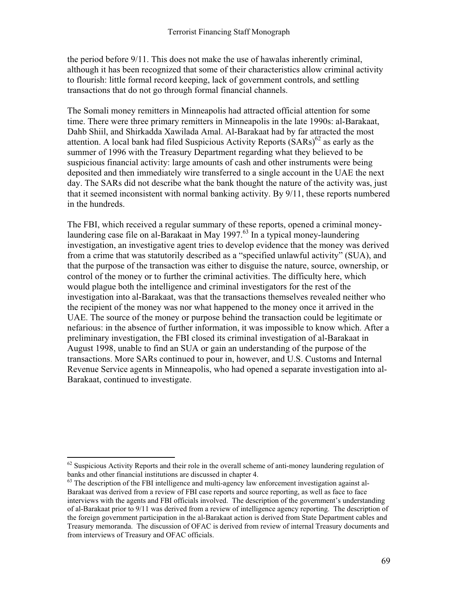the period before 9/11. This does not make the use of hawalas inherently criminal, although it has been recognized that some of their characteristics allow criminal activity to flourish: little formal record keeping, lack of government controls, and settling transactions that do not go through formal financial channels.

The Somali money remitters in Minneapolis had attracted official attention for some time. There were three primary remitters in Minneapolis in the late 1990s: al-Barakaat, Dahb Shiil, and Shirkadda Xawilada Amal. Al-Barakaat had by far attracted the most attention. A local bank had filed Suspicious Activity Reports  $(SARs)^{62}$  as early as the summer of 1996 with the Treasury Department regarding what they believed to be suspicious financial activity: large amounts of cash and other instruments were being deposited and then immediately wire transferred to a single account in the UAE the next day. The SARs did not describe what the bank thought the nature of the activity was, just that it seemed inconsistent with normal banking activity. By 9/11, these reports numbered in the hundreds.

The FBI, which received a regular summary of these reports, opened a criminal moneylaundering case file on al-Barakaat in May  $1997<sup>63</sup>$  In a typical money-laundering investigation, an investigative agent tries to develop evidence that the money was derived from a crime that was statutorily described as a "specified unlawful activity" (SUA), and that the purpose of the transaction was either to disguise the nature, source, ownership, or control of the money or to further the criminal activities. The difficulty here, which would plague both the intelligence and criminal investigators for the rest of the investigation into al-Barakaat, was that the transactions themselves revealed neither who the recipient of the money was nor what happened to the money once it arrived in the UAE. The source of the money or purpose behind the transaction could be legitimate or nefarious: in the absence of further information, it was impossible to know which. After a preliminary investigation, the FBI closed its criminal investigation of al-Barakaat in August 1998, unable to find an SUA or gain an understanding of the purpose of the transactions. More SARs continued to pour in, however, and U.S. Customs and Internal Revenue Service agents in Minneapolis, who had opened a separate investigation into al-Barakaat, continued to investigate.

 $62$  Suspicious Activity Reports and their role in the overall scheme of anti-money laundering regulation of banks and other financial institutions are discussed in chapter 4.

 $63$  The description of the FBI intelligence and multi-agency law enforcement investigation against al-Barakaat was derived from a review of FBI case reports and source reporting, as well as face to face interviews with the agents and FBI officials involved. The description of the government's understanding of al-Barakaat prior to 9/11 was derived from a review of intelligence agency reporting. The description of the foreign government participation in the al-Barakaat action is derived from State Department cables and Treasury memoranda. The discussion of OFAC is derived from review of internal Treasury documents and from interviews of Treasury and OFAC officials.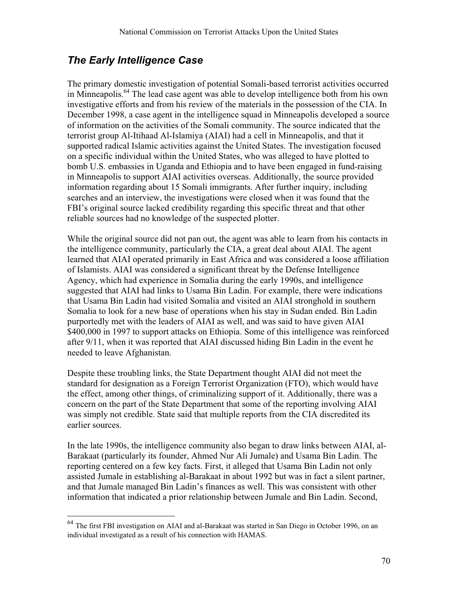#### *The Early Intelligence Case*

The primary domestic investigation of potential Somali-based terrorist activities occurred in Minneapolis.<sup>64</sup> The lead case agent was able to develop intelligence both from his own investigative efforts and from his review of the materials in the possession of the CIA. In December 1998, a case agent in the intelligence squad in Minneapolis developed a source of information on the activities of the Somali community. The source indicated that the terrorist group Al-Itihaad Al-Islamiya (AIAI) had a cell in Minneapolis, and that it supported radical Islamic activities against the United States. The investigation focused on a specific individual within the United States, who was alleged to have plotted to bomb U.S. embassies in Uganda and Ethiopia and to have been engaged in fund-raising in Minneapolis to support AIAI activities overseas. Additionally, the source provided information regarding about 15 Somali immigrants. After further inquiry, including searches and an interview, the investigations were closed when it was found that the FBI's original source lacked credibility regarding this specific threat and that other reliable sources had no knowledge of the suspected plotter.

While the original source did not pan out, the agent was able to learn from his contacts in the intelligence community, particularly the CIA, a great deal about AIAI. The agent learned that AIAI operated primarily in East Africa and was considered a loose affiliation of Islamists. AIAI was considered a significant threat by the Defense Intelligence Agency, which had experience in Somalia during the early 1990s, and intelligence suggested that AIAI had links to Usama Bin Ladin. For example, there were indications that Usama Bin Ladin had visited Somalia and visited an AIAI stronghold in southern Somalia to look for a new base of operations when his stay in Sudan ended. Bin Ladin purportedly met with the leaders of AIAI as well, and was said to have given AIAI \$400,000 in 1997 to support attacks on Ethiopia. Some of this intelligence was reinforced after 9/11, when it was reported that AIAI discussed hiding Bin Ladin in the event he needed to leave Afghanistan.

Despite these troubling links, the State Department thought AIAI did not meet the standard for designation as a Foreign Terrorist Organization (FTO), which would have the effect, among other things, of criminalizing support of it. Additionally, there was a concern on the part of the State Department that some of the reporting involving AIAI was simply not credible. State said that multiple reports from the CIA discredited its earlier sources.

In the late 1990s, the intelligence community also began to draw links between AIAI, al-Barakaat (particularly its founder, Ahmed Nur Ali Jumale) and Usama Bin Ladin. The reporting centered on a few key facts. First, it alleged that Usama Bin Ladin not only assisted Jumale in establishing al-Barakaat in about 1992 but was in fact a silent partner, and that Jumale managed Bin Ladin's finances as well. This was consistent with other information that indicated a prior relationship between Jumale and Bin Ladin. Second,

<sup>64</sup> The first FBI investigation on AIAI and al-Barakaat was started in San Diego in October 1996, on an individual investigated as a result of his connection with HAMAS.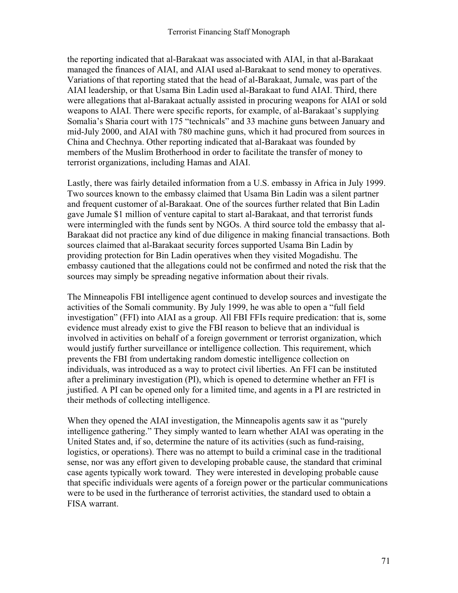the reporting indicated that al-Barakaat was associated with AIAI, in that al-Barakaat managed the finances of AIAI, and AIAI used al-Barakaat to send money to operatives. Variations of that reporting stated that the head of al-Barakaat, Jumale, was part of the AIAI leadership, or that Usama Bin Ladin used al-Barakaat to fund AIAI. Third, there were allegations that al-Barakaat actually assisted in procuring weapons for AIAI or sold weapons to AIAI. There were specific reports, for example, of al-Barakaat's supplying Somalia's Sharia court with 175 "technicals" and 33 machine guns between January and mid-July 2000, and AIAI with 780 machine guns, which it had procured from sources in China and Chechnya. Other reporting indicated that al-Barakaat was founded by members of the Muslim Brotherhood in order to facilitate the transfer of money to terrorist organizations, including Hamas and AIAI.

Lastly, there was fairly detailed information from a U.S. embassy in Africa in July 1999. Two sources known to the embassy claimed that Usama Bin Ladin was a silent partner and frequent customer of al-Barakaat. One of the sources further related that Bin Ladin gave Jumale \$1 million of venture capital to start al-Barakaat, and that terrorist funds were intermingled with the funds sent by NGOs. A third source told the embassy that al-Barakaat did not practice any kind of due diligence in making financial transactions. Both sources claimed that al-Barakaat security forces supported Usama Bin Ladin by providing protection for Bin Ladin operatives when they visited Mogadishu. The embassy cautioned that the allegations could not be confirmed and noted the risk that the sources may simply be spreading negative information about their rivals.

The Minneapolis FBI intelligence agent continued to develop sources and investigate the activities of the Somali community. By July 1999, he was able to open a "full field investigation" (FFI) into AIAI as a group. All FBI FFIs require predication: that is, some evidence must already exist to give the FBI reason to believe that an individual is involved in activities on behalf of a foreign government or terrorist organization, which would justify further surveillance or intelligence collection. This requirement, which prevents the FBI from undertaking random domestic intelligence collection on individuals, was introduced as a way to protect civil liberties. An FFI can be instituted after a preliminary investigation (PI), which is opened to determine whether an FFI is justified. A PI can be opened only for a limited time, and agents in a PI are restricted in their methods of collecting intelligence.

When they opened the AIAI investigation, the Minneapolis agents saw it as "purely" intelligence gathering." They simply wanted to learn whether AIAI was operating in the United States and, if so, determine the nature of its activities (such as fund-raising, logistics, or operations). There was no attempt to build a criminal case in the traditional sense, nor was any effort given to developing probable cause, the standard that criminal case agents typically work toward. They were interested in developing probable cause that specific individuals were agents of a foreign power or the particular communications were to be used in the furtherance of terrorist activities, the standard used to obtain a FISA warrant.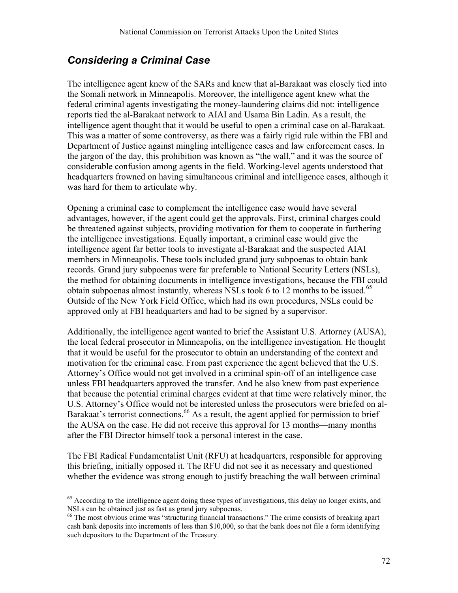#### *Considering a Criminal Case*

The intelligence agent knew of the SARs and knew that al-Barakaat was closely tied into the Somali network in Minneapolis. Moreover, the intelligence agent knew what the federal criminal agents investigating the money-laundering claims did not: intelligence reports tied the al-Barakaat network to AIAI and Usama Bin Ladin. As a result, the intelligence agent thought that it would be useful to open a criminal case on al-Barakaat. This was a matter of some controversy, as there was a fairly rigid rule within the FBI and Department of Justice against mingling intelligence cases and law enforcement cases. In the jargon of the day, this prohibition was known as "the wall," and it was the source of considerable confusion among agents in the field. Working-level agents understood that headquarters frowned on having simultaneous criminal and intelligence cases, although it was hard for them to articulate why.

Opening a criminal case to complement the intelligence case would have several advantages, however, if the agent could get the approvals. First, criminal charges could be threatened against subjects, providing motivation for them to cooperate in furthering the intelligence investigations. Equally important, a criminal case would give the intelligence agent far better tools to investigate al-Barakaat and the suspected AIAI members in Minneapolis. These tools included grand jury subpoenas to obtain bank records. Grand jury subpoenas were far preferable to National Security Letters (NSLs), the method for obtaining documents in intelligence investigations, because the FBI could obtain subpoenas almost instantly, whereas NSLs took 6 to 12 months to be issued.<sup>65</sup> Outside of the New York Field Office, which had its own procedures, NSLs could be approved only at FBI headquarters and had to be signed by a supervisor.

Additionally, the intelligence agent wanted to brief the Assistant U.S. Attorney (AUSA), the local federal prosecutor in Minneapolis, on the intelligence investigation. He thought that it would be useful for the prosecutor to obtain an understanding of the context and motivation for the criminal case. From past experience the agent believed that the U.S. Attorney's Office would not get involved in a criminal spin-off of an intelligence case unless FBI headquarters approved the transfer. And he also knew from past experience that because the potential criminal charges evident at that time were relatively minor, the U.S. Attorney's Office would not be interested unless the prosecutors were briefed on al-Barakaat's terrorist connections.<sup>66</sup> As a result, the agent applied for permission to brief the AUSA on the case. He did not receive this approval for 13 months—many months after the FBI Director himself took a personal interest in the case.

The FBI Radical Fundamentalist Unit (RFU) at headquarters, responsible for approving this briefing, initially opposed it. The RFU did not see it as necessary and questioned whether the evidence was strong enough to justify breaching the wall between criminal

<sup>&</sup>lt;sup>65</sup> According to the intelligence agent doing these types of investigations, this delay no longer exists, and NSLs can be obtained just as fast as grand jury subpoenas.

<sup>&</sup>lt;sup>66</sup> The most obvious crime was "structuring financial transactions." The crime consists of breaking apart cash bank deposits into increments of less than \$10,000, so that the bank does not file a form identifying such depositors to the Department of the Treasury.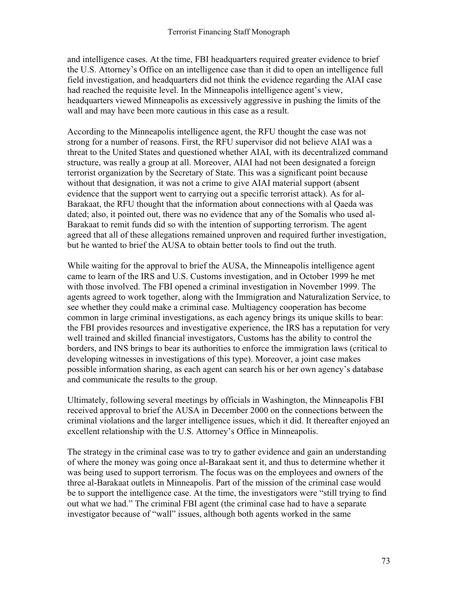and intelligence cases. At the time, FBI headquarters required greater evidence to brief the U.S. Attorney's Office on an intelligence case than it did to open an intelligence full field investigation, and headquarters did not think the evidence regarding the AIAI case had reached the requisite level. In the Minneapolis intelligence agent's view, headquarters viewed Minneapolis as excessively aggressive in pushing the limits of the wall and may have been more cautious in this case as a result.

According to the Minneapolis intelligence agent, the RFU thought the case was not strong for a number of reasons. First, the RFU supervisor did not believe AIAI was a threat to the United States and questioned whether AIAI, with its decentralized command structure, was really a group at all. Moreover, AIAI had not been designated a foreign terrorist organization by the Secretary of State. This was a significant point because without that designation, it was not a crime to give AIAI material support (absent evidence that the support went to carrying out a specific terrorist attack). As for al-Barakaat, the RFU thought that the information about connections with al Qaeda was dated; also, it pointed out, there was no evidence that any of the Somalis who used al-Barakaat to remit funds did so with the intention of supporting terrorism. The agent agreed that all of these allegations remained unproven and required further investigation, but he wanted to brief the AUSA to obtain better tools to find out the truth.

While waiting for the approval to brief the AUSA, the Minneapolis intelligence agent came to learn of the IRS and U.S. Customs investigation, and in October 1999 he met with those involved. The FBI opened a criminal investigation in November 1999. The agents agreed to work together, along with the Immigration and Naturalization Service, to see whether they could make a criminal case. Multiagency cooperation has become common in large criminal investigations, as each agency brings its unique skills to bear: the FBI provides resources and investigative experience, the IRS has a reputation for very well trained and skilled financial investigators, Customs has the ability to control the borders, and INS brings to bear its authorities to enforce the immigration laws (critical to developing witnesses in investigations of this type). Moreover, a joint case makes possible information sharing, as each agent can search his or her own agency's database and communicate the results to the group.

Ultimately, following several meetings by officials in Washington, the Minneapolis FBI received approval to brief the AUSA in December 2000 on the connections between the criminal violations and the larger intelligence issues, which it did. It thereafter enjoyed an excellent relationship with the U.S. Attorney's Office in Minneapolis.

The strategy in the criminal case was to try to gather evidence and gain an understanding of where the money was going once al-Barakaat sent it, and thus to determine whether it was being used to support terrorism. The focus was on the employees and owners of the three al-Barakaat outlets in Minneapolis. Part of the mission of the criminal case would be to support the intelligence case. At the time, the investigators were "still trying to find out what we had." The criminal FBI agent (the criminal case had to have a separate investigator because of "wall" issues, although both agents worked in the same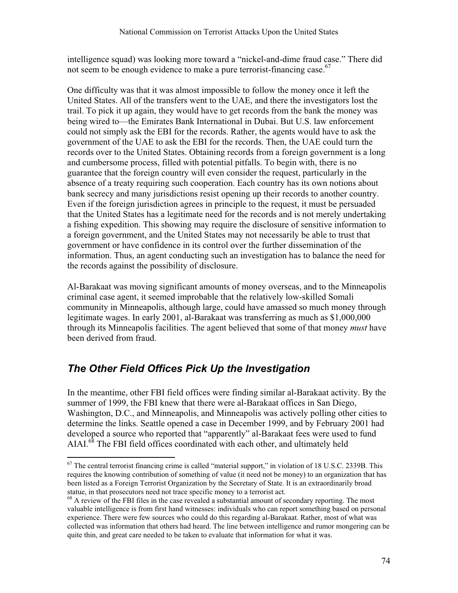intelligence squad) was looking more toward a "nickel-and-dime fraud case." There did not seem to be enough evidence to make a pure terrorist-financing case.<sup>67</sup>

One difficulty was that it was almost impossible to follow the money once it left the United States. All of the transfers went to the UAE, and there the investigators lost the trail. To pick it up again, they would have to get records from the bank the money was being wired to—the Emirates Bank International in Dubai. But U.S. law enforcement could not simply ask the EBI for the records. Rather, the agents would have to ask the government of the UAE to ask the EBI for the records. Then, the UAE could turn the records over to the United States. Obtaining records from a foreign government is a long and cumbersome process, filled with potential pitfalls. To begin with, there is no guarantee that the foreign country will even consider the request, particularly in the absence of a treaty requiring such cooperation. Each country has its own notions about bank secrecy and many jurisdictions resist opening up their records to another country. Even if the foreign jurisdiction agrees in principle to the request, it must be persuaded that the United States has a legitimate need for the records and is not merely undertaking a fishing expedition. This showing may require the disclosure of sensitive information to a foreign government, and the United States may not necessarily be able to trust that government or have confidence in its control over the further dissemination of the information. Thus, an agent conducting such an investigation has to balance the need for the records against the possibility of disclosure.

Al-Barakaat was moving significant amounts of money overseas, and to the Minneapolis criminal case agent, it seemed improbable that the relatively low-skilled Somali community in Minneapolis, although large, could have amassed so much money through legitimate wages. In early 2001, al-Barakaat was transferring as much as \$1,000,000 through its Minneapolis facilities. The agent believed that some of that money *must* have been derived from fraud.

### *The Other Field Offices Pick Up the Investigation*

In the meantime, other FBI field offices were finding similar al-Barakaat activity. By the summer of 1999, the FBI knew that there were al-Barakaat offices in San Diego, Washington, D.C., and Minneapolis, and Minneapolis was actively polling other cities to determine the links. Seattle opened a case in December 1999, and by February 2001 had developed a source who reported that "apparently" al-Barakaat fees were used to fund AIAI.<sup>68</sup> The FBI field offices coordinated with each other, and ultimately held

<sup>&</sup>lt;sup>67</sup> The central terrorist financing crime is called "material support," in violation of 18 U.S.C. 2339B. This requires the knowing contribution of something of value (it need not be money) to an organization that has been listed as a Foreign Terrorist Organization by the Secretary of State. It is an extraordinarily broad statue, in that prosecutors need not trace specific money to a terrorist act.

<sup>&</sup>lt;sup>68</sup> A review of the FBI files in the case revealed a substantial amount of secondary reporting. The most valuable intelligence is from first hand witnesses: individuals who can report something based on personal experience. There were few sources who could do this regarding al-Barakaat. Rather, most of what was collected was information that others had heard. The line between intelligence and rumor mongering can be quite thin, and great care needed to be taken to evaluate that information for what it was.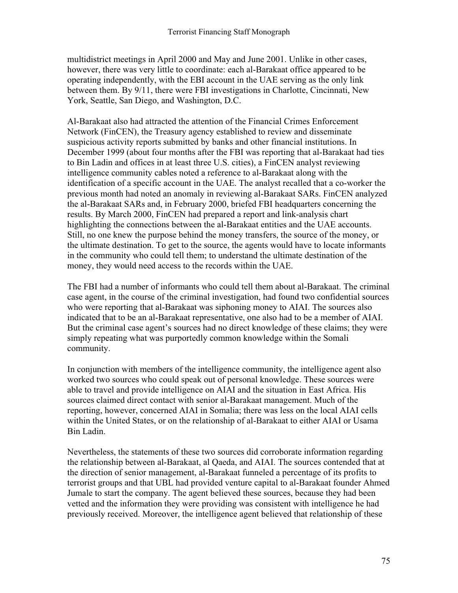multidistrict meetings in April 2000 and May and June 2001. Unlike in other cases, however, there was very little to coordinate: each al-Barakaat office appeared to be operating independently, with the EBI account in the UAE serving as the only link between them. By 9/11, there were FBI investigations in Charlotte, Cincinnati, New York, Seattle, San Diego, and Washington, D.C.

Al-Barakaat also had attracted the attention of the Financial Crimes Enforcement Network (FinCEN), the Treasury agency established to review and disseminate suspicious activity reports submitted by banks and other financial institutions. In December 1999 (about four months after the FBI was reporting that al-Barakaat had ties to Bin Ladin and offices in at least three U.S. cities), a FinCEN analyst reviewing intelligence community cables noted a reference to al-Barakaat along with the identification of a specific account in the UAE. The analyst recalled that a co-worker the previous month had noted an anomaly in reviewing al-Barakaat SARs. FinCEN analyzed the al-Barakaat SARs and, in February 2000, briefed FBI headquarters concerning the results. By March 2000, FinCEN had prepared a report and link-analysis chart highlighting the connections between the al-Barakaat entities and the UAE accounts. Still, no one knew the purpose behind the money transfers, the source of the money, or the ultimate destination. To get to the source, the agents would have to locate informants in the community who could tell them; to understand the ultimate destination of the money, they would need access to the records within the UAE.

The FBI had a number of informants who could tell them about al-Barakaat. The criminal case agent, in the course of the criminal investigation, had found two confidential sources who were reporting that al-Barakaat was siphoning money to AIAI. The sources also indicated that to be an al-Barakaat representative, one also had to be a member of AIAI. But the criminal case agent's sources had no direct knowledge of these claims; they were simply repeating what was purportedly common knowledge within the Somali community.

In conjunction with members of the intelligence community, the intelligence agent also worked two sources who could speak out of personal knowledge. These sources were able to travel and provide intelligence on AIAI and the situation in East Africa. His sources claimed direct contact with senior al-Barakaat management. Much of the reporting, however, concerned AIAI in Somalia; there was less on the local AIAI cells within the United States, or on the relationship of al-Barakaat to either AIAI or Usama Bin Ladin.

Nevertheless, the statements of these two sources did corroborate information regarding the relationship between al-Barakaat, al Qaeda, and AIAI. The sources contended that at the direction of senior management, al-Barakaat funneled a percentage of its profits to terrorist groups and that UBL had provided venture capital to al-Barakaat founder Ahmed Jumale to start the company. The agent believed these sources, because they had been vetted and the information they were providing was consistent with intelligence he had previously received. Moreover, the intelligence agent believed that relationship of these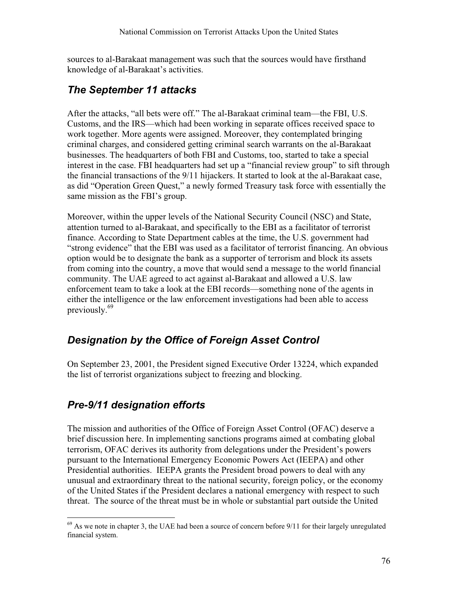sources to al-Barakaat management was such that the sources would have firsthand knowledge of al-Barakaat's activities.

#### *The September 11 attacks*

After the attacks, "all bets were off." The al-Barakaat criminal team—the FBI, U.S. Customs, and the IRS—which had been working in separate offices received space to work together. More agents were assigned. Moreover, they contemplated bringing criminal charges, and considered getting criminal search warrants on the al-Barakaat businesses. The headquarters of both FBI and Customs, too, started to take a special interest in the case. FBI headquarters had set up a "financial review group" to sift through the financial transactions of the 9/11 hijackers. It started to look at the al-Barakaat case, as did "Operation Green Quest," a newly formed Treasury task force with essentially the same mission as the FBI's group.

Moreover, within the upper levels of the National Security Council (NSC) and State, attention turned to al-Barakaat, and specifically to the EBI as a facilitator of terrorist finance. According to State Department cables at the time, the U.S. government had "strong evidence" that the EBI was used as a facilitator of terrorist financing. An obvious option would be to designate the bank as a supporter of terrorism and block its assets from coming into the country, a move that would send a message to the world financial community. The UAE agreed to act against al-Barakaat and allowed a U.S. law enforcement team to take a look at the EBI records—something none of the agents in either the intelligence or the law enforcement investigations had been able to access previously.69

### *Designation by the Office of Foreign Asset Control*

On September 23, 2001, the President signed Executive Order 13224, which expanded the list of terrorist organizations subject to freezing and blocking.

### *Pre-9/11 designation efforts*

The mission and authorities of the Office of Foreign Asset Control (OFAC) deserve a brief discussion here. In implementing sanctions programs aimed at combating global terrorism, OFAC derives its authority from delegations under the President's powers pursuant to the International Emergency Economic Powers Act (IEEPA) and other Presidential authorities. IEEPA grants the President broad powers to deal with any unusual and extraordinary threat to the national security, foreign policy, or the economy of the United States if the President declares a national emergency with respect to such threat. The source of the threat must be in whole or substantial part outside the United

 $69$  As we note in chapter 3, the UAE had been a source of concern before  $9/11$  for their largely unregulated financial system.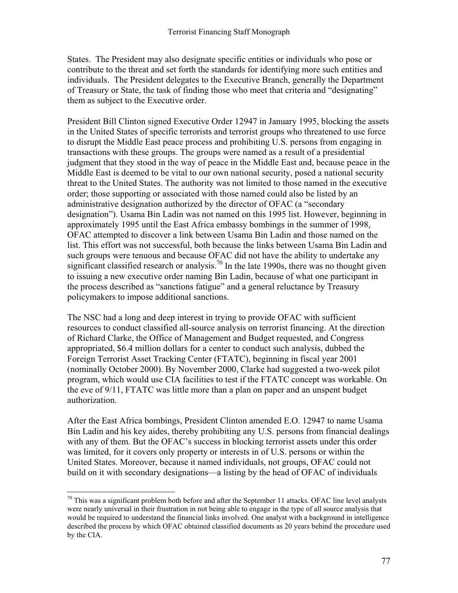States. The President may also designate specific entities or individuals who pose or contribute to the threat and set forth the standards for identifying more such entities and individuals. The President delegates to the Executive Branch, generally the Department of Treasury or State, the task of finding those who meet that criteria and "designating" them as subject to the Executive order.

President Bill Clinton signed Executive Order 12947 in January 1995, blocking the assets in the United States of specific terrorists and terrorist groups who threatened to use force to disrupt the Middle East peace process and prohibiting U.S. persons from engaging in transactions with these groups. The groups were named as a result of a presidential judgment that they stood in the way of peace in the Middle East and, because peace in the Middle East is deemed to be vital to our own national security, posed a national security threat to the United States. The authority was not limited to those named in the executive order; those supporting or associated with those named could also be listed by an administrative designation authorized by the director of OFAC (a "secondary designation"). Usama Bin Ladin was not named on this 1995 list. However, beginning in approximately 1995 until the East Africa embassy bombings in the summer of 1998, OFAC attempted to discover a link between Usama Bin Ladin and those named on the list. This effort was not successful, both because the links between Usama Bin Ladin and such groups were tenuous and because OFAC did not have the ability to undertake any significant classified research or analysis.<sup>70</sup> In the late 1990s, there was no thought given to issuing a new executive order naming Bin Ladin, because of what one participant in the process described as "sanctions fatigue" and a general reluctance by Treasury policymakers to impose additional sanctions.

The NSC had a long and deep interest in trying to provide OFAC with sufficient resources to conduct classified all-source analysis on terrorist financing. At the direction of Richard Clarke, the Office of Management and Budget requested, and Congress appropriated, \$6.4 million dollars for a center to conduct such analysis, dubbed the Foreign Terrorist Asset Tracking Center (FTATC), beginning in fiscal year 2001 (nominally October 2000). By November 2000, Clarke had suggested a two-week pilot program, which would use CIA facilities to test if the FTATC concept was workable. On the eve of 9/11, FTATC was little more than a plan on paper and an unspent budget authorization.

After the East Africa bombings, President Clinton amended E.O. 12947 to name Usama Bin Ladin and his key aides, thereby prohibiting any U.S. persons from financial dealings with any of them. But the OFAC's success in blocking terrorist assets under this order was limited, for it covers only property or interests in of U.S. persons or within the United States. Moreover, because it named individuals, not groups, OFAC could not build on it with secondary designations—a listing by the head of OFAC of individuals

 $70$  This was a significant problem both before and after the September 11 attacks. OFAC line level analysts were nearly universal in their frustration in not being able to engage in the type of all source analysis that would be required to understand the financial links involved. One analyst with a background in intelligence described the process by which OFAC obtained classified documents as 20 years behind the procedure used by the CIA.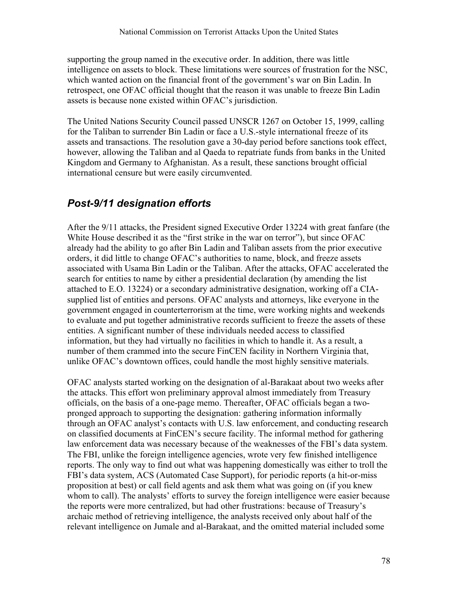supporting the group named in the executive order. In addition, there was little intelligence on assets to block. These limitations were sources of frustration for the NSC, which wanted action on the financial front of the government's war on Bin Ladin. In retrospect, one OFAC official thought that the reason it was unable to freeze Bin Ladin assets is because none existed within OFAC's jurisdiction.

The United Nations Security Council passed UNSCR 1267 on October 15, 1999, calling for the Taliban to surrender Bin Ladin or face a U.S.-style international freeze of its assets and transactions. The resolution gave a 30-day period before sanctions took effect, however, allowing the Taliban and al Qaeda to repatriate funds from banks in the United Kingdom and Germany to Afghanistan. As a result, these sanctions brought official international censure but were easily circumvented.

#### *Post-9/11 designation efforts*

After the 9/11 attacks, the President signed Executive Order 13224 with great fanfare (the White House described it as the "first strike in the war on terror"), but since OFAC already had the ability to go after Bin Ladin and Taliban assets from the prior executive orders, it did little to change OFAC's authorities to name, block, and freeze assets associated with Usama Bin Ladin or the Taliban. After the attacks, OFAC accelerated the search for entities to name by either a presidential declaration (by amending the list attached to E.O. 13224) or a secondary administrative designation, working off a CIAsupplied list of entities and persons. OFAC analysts and attorneys, like everyone in the government engaged in counterterrorism at the time, were working nights and weekends to evaluate and put together administrative records sufficient to freeze the assets of these entities. A significant number of these individuals needed access to classified information, but they had virtually no facilities in which to handle it. As a result, a number of them crammed into the secure FinCEN facility in Northern Virginia that, unlike OFAC's downtown offices, could handle the most highly sensitive materials.

OFAC analysts started working on the designation of al-Barakaat about two weeks after the attacks. This effort won preliminary approval almost immediately from Treasury officials, on the basis of a one-page memo. Thereafter, OFAC officials began a twopronged approach to supporting the designation: gathering information informally through an OFAC analyst's contacts with U.S. law enforcement, and conducting research on classified documents at FinCEN's secure facility. The informal method for gathering law enforcement data was necessary because of the weaknesses of the FBI's data system. The FBI, unlike the foreign intelligence agencies, wrote very few finished intelligence reports. The only way to find out what was happening domestically was either to troll the FBI's data system, ACS (Automated Case Support), for periodic reports (a hit-or-miss proposition at best) or call field agents and ask them what was going on (if you knew whom to call). The analysts' efforts to survey the foreign intelligence were easier because the reports were more centralized, but had other frustrations: because of Treasury's archaic method of retrieving intelligence, the analysts received only about half of the relevant intelligence on Jumale and al-Barakaat, and the omitted material included some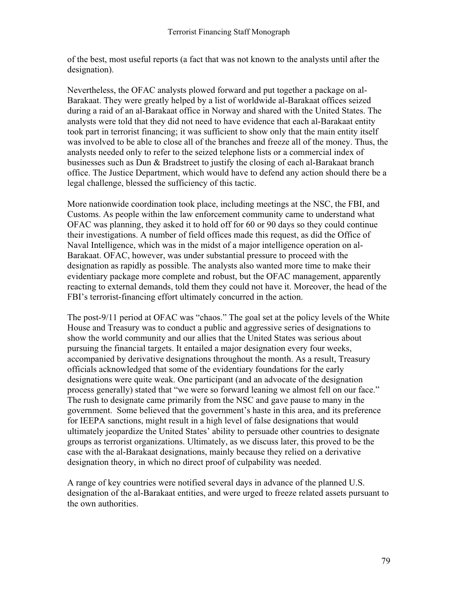of the best, most useful reports (a fact that was not known to the analysts until after the designation).

Nevertheless, the OFAC analysts plowed forward and put together a package on al-Barakaat. They were greatly helped by a list of worldwide al-Barakaat offices seized during a raid of an al-Barakaat office in Norway and shared with the United States. The analysts were told that they did not need to have evidence that each al-Barakaat entity took part in terrorist financing; it was sufficient to show only that the main entity itself was involved to be able to close all of the branches and freeze all of the money. Thus, the analysts needed only to refer to the seized telephone lists or a commercial index of businesses such as Dun & Bradstreet to justify the closing of each al-Barakaat branch office. The Justice Department, which would have to defend any action should there be a legal challenge, blessed the sufficiency of this tactic.

More nationwide coordination took place, including meetings at the NSC, the FBI, and Customs. As people within the law enforcement community came to understand what OFAC was planning, they asked it to hold off for 60 or 90 days so they could continue their investigations. A number of field offices made this request, as did the Office of Naval Intelligence, which was in the midst of a major intelligence operation on al-Barakaat. OFAC, however, was under substantial pressure to proceed with the designation as rapidly as possible. The analysts also wanted more time to make their evidentiary package more complete and robust, but the OFAC management, apparently reacting to external demands, told them they could not have it. Moreover, the head of the FBI's terrorist-financing effort ultimately concurred in the action.

The post-9/11 period at OFAC was "chaos." The goal set at the policy levels of the White House and Treasury was to conduct a public and aggressive series of designations to show the world community and our allies that the United States was serious about pursuing the financial targets. It entailed a major designation every four weeks, accompanied by derivative designations throughout the month. As a result, Treasury officials acknowledged that some of the evidentiary foundations for the early designations were quite weak. One participant (and an advocate of the designation process generally) stated that "we were so forward leaning we almost fell on our face." The rush to designate came primarily from the NSC and gave pause to many in the government. Some believed that the government's haste in this area, and its preference for IEEPA sanctions, might result in a high level of false designations that would ultimately jeopardize the United States' ability to persuade other countries to designate groups as terrorist organizations. Ultimately, as we discuss later, this proved to be the case with the al-Barakaat designations, mainly because they relied on a derivative designation theory, in which no direct proof of culpability was needed.

A range of key countries were notified several days in advance of the planned U.S. designation of the al-Barakaat entities, and were urged to freeze related assets pursuant to the own authorities.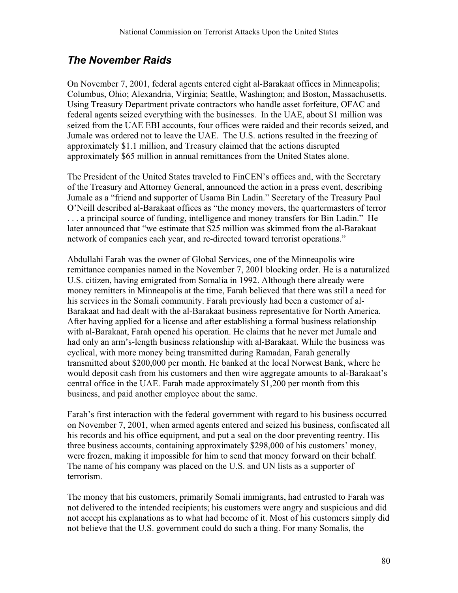#### *The November Raids*

On November 7, 2001, federal agents entered eight al-Barakaat offices in Minneapolis; Columbus, Ohio; Alexandria, Virginia; Seattle, Washington; and Boston, Massachusetts. Using Treasury Department private contractors who handle asset forfeiture, OFAC and federal agents seized everything with the businesses. In the UAE, about \$1 million was seized from the UAE EBI accounts, four offices were raided and their records seized, and Jumale was ordered not to leave the UAE. The U.S. actions resulted in the freezing of approximately \$1.1 million, and Treasury claimed that the actions disrupted approximately \$65 million in annual remittances from the United States alone.

The President of the United States traveled to FinCEN's offices and, with the Secretary of the Treasury and Attorney General, announced the action in a press event, describing Jumale as a "friend and supporter of Usama Bin Ladin." Secretary of the Treasury Paul O'Neill described al-Barakaat offices as "the money movers, the quartermasters of terror . . . a principal source of funding, intelligence and money transfers for Bin Ladin." He later announced that "we estimate that \$25 million was skimmed from the al-Barakaat network of companies each year, and re-directed toward terrorist operations."

Abdullahi Farah was the owner of Global Services, one of the Minneapolis wire remittance companies named in the November 7, 2001 blocking order. He is a naturalized U.S. citizen, having emigrated from Somalia in 1992. Although there already were money remitters in Minneapolis at the time, Farah believed that there was still a need for his services in the Somali community. Farah previously had been a customer of al-Barakaat and had dealt with the al-Barakaat business representative for North America. After having applied for a license and after establishing a formal business relationship with al-Barakaat, Farah opened his operation. He claims that he never met Jumale and had only an arm's-length business relationship with al-Barakaat. While the business was cyclical, with more money being transmitted during Ramadan, Farah generally transmitted about \$200,000 per month. He banked at the local Norwest Bank, where he would deposit cash from his customers and then wire aggregate amounts to al-Barakaat's central office in the UAE. Farah made approximately \$1,200 per month from this business, and paid another employee about the same.

Farah's first interaction with the federal government with regard to his business occurred on November 7, 2001, when armed agents entered and seized his business, confiscated all his records and his office equipment, and put a seal on the door preventing reentry. His three business accounts, containing approximately \$298,000 of his customers' money, were frozen, making it impossible for him to send that money forward on their behalf. The name of his company was placed on the U.S. and UN lists as a supporter of terrorism.

The money that his customers, primarily Somali immigrants, had entrusted to Farah was not delivered to the intended recipients; his customers were angry and suspicious and did not accept his explanations as to what had become of it. Most of his customers simply did not believe that the U.S. government could do such a thing. For many Somalis, the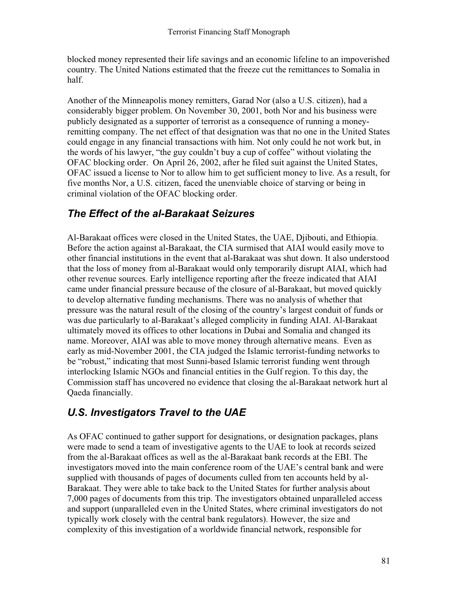blocked money represented their life savings and an economic lifeline to an impoverished country. The United Nations estimated that the freeze cut the remittances to Somalia in half.

Another of the Minneapolis money remitters, Garad Nor (also a U.S. citizen), had a considerably bigger problem. On November 30, 2001, both Nor and his business were publicly designated as a supporter of terrorist as a consequence of running a moneyremitting company. The net effect of that designation was that no one in the United States could engage in any financial transactions with him. Not only could he not work but, in the words of his lawyer, "the guy couldn't buy a cup of coffee" without violating the OFAC blocking order. On April 26, 2002, after he filed suit against the United States, OFAC issued a license to Nor to allow him to get sufficient money to live. As a result, for five months Nor, a U.S. citizen, faced the unenviable choice of starving or being in criminal violation of the OFAC blocking order.

#### *The Effect of the al-Barakaat Seizures*

Al-Barakaat offices were closed in the United States, the UAE, Djibouti, and Ethiopia. Before the action against al-Barakaat, the CIA surmised that AIAI would easily move to other financial institutions in the event that al-Barakaat was shut down. It also understood that the loss of money from al-Barakaat would only temporarily disrupt AIAI, which had other revenue sources. Early intelligence reporting after the freeze indicated that AIAI came under financial pressure because of the closure of al-Barakaat, but moved quickly to develop alternative funding mechanisms. There was no analysis of whether that pressure was the natural result of the closing of the country's largest conduit of funds or was due particularly to al-Barakaat's alleged complicity in funding AIAI. Al-Barakaat ultimately moved its offices to other locations in Dubai and Somalia and changed its name. Moreover, AIAI was able to move money through alternative means. Even as early as mid-November 2001, the CIA judged the Islamic terrorist-funding networks to be "robust," indicating that most Sunni-based Islamic terrorist funding went through interlocking Islamic NGOs and financial entities in the Gulf region. To this day, the Commission staff has uncovered no evidence that closing the al-Barakaat network hurt al Qaeda financially.

### *U.S. Investigators Travel to the UAE*

As OFAC continued to gather support for designations, or designation packages, plans were made to send a team of investigative agents to the UAE to look at records seized from the al-Barakaat offices as well as the al-Barakaat bank records at the EBI. The investigators moved into the main conference room of the UAE's central bank and were supplied with thousands of pages of documents culled from ten accounts held by al-Barakaat. They were able to take back to the United States for further analysis about 7,000 pages of documents from this trip. The investigators obtained unparalleled access and support (unparalleled even in the United States, where criminal investigators do not typically work closely with the central bank regulators). However, the size and complexity of this investigation of a worldwide financial network, responsible for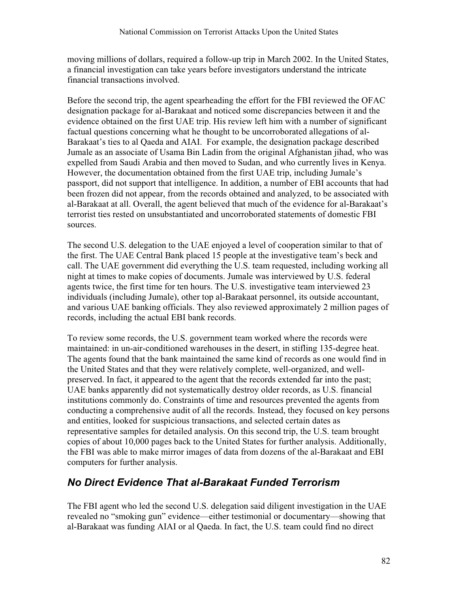moving millions of dollars, required a follow-up trip in March 2002. In the United States, a financial investigation can take years before investigators understand the intricate financial transactions involved.

Before the second trip, the agent spearheading the effort for the FBI reviewed the OFAC designation package for al-Barakaat and noticed some discrepancies between it and the evidence obtained on the first UAE trip. His review left him with a number of significant factual questions concerning what he thought to be uncorroborated allegations of al-Barakaat's ties to al Qaeda and AIAI. For example, the designation package described Jumale as an associate of Usama Bin Ladin from the original Afghanistan jihad, who was expelled from Saudi Arabia and then moved to Sudan, and who currently lives in Kenya. However, the documentation obtained from the first UAE trip, including Jumale's passport, did not support that intelligence. In addition, a number of EBI accounts that had been frozen did not appear, from the records obtained and analyzed, to be associated with al-Barakaat at all. Overall, the agent believed that much of the evidence for al-Barakaat's terrorist ties rested on unsubstantiated and uncorroborated statements of domestic FBI sources.

The second U.S. delegation to the UAE enjoyed a level of cooperation similar to that of the first. The UAE Central Bank placed 15 people at the investigative team's beck and call. The UAE government did everything the U.S. team requested, including working all night at times to make copies of documents. Jumale was interviewed by U.S. federal agents twice, the first time for ten hours. The U.S. investigative team interviewed 23 individuals (including Jumale), other top al-Barakaat personnel, its outside accountant, and various UAE banking officials. They also reviewed approximately 2 million pages of records, including the actual EBI bank records.

To review some records, the U.S. government team worked where the records were maintained: in un-air-conditioned warehouses in the desert, in stifling 135-degree heat. The agents found that the bank maintained the same kind of records as one would find in the United States and that they were relatively complete, well-organized, and wellpreserved. In fact, it appeared to the agent that the records extended far into the past; UAE banks apparently did not systematically destroy older records, as U.S. financial institutions commonly do. Constraints of time and resources prevented the agents from conducting a comprehensive audit of all the records. Instead, they focused on key persons and entities, looked for suspicious transactions, and selected certain dates as representative samples for detailed analysis. On this second trip, the U.S. team brought copies of about 10,000 pages back to the United States for further analysis. Additionally, the FBI was able to make mirror images of data from dozens of the al-Barakaat and EBI computers for further analysis.

#### *No Direct Evidence That al-Barakaat Funded Terrorism*

The FBI agent who led the second U.S. delegation said diligent investigation in the UAE revealed no "smoking gun" evidence—either testimonial or documentary—showing that al-Barakaat was funding AIAI or al Qaeda. In fact, the U.S. team could find no direct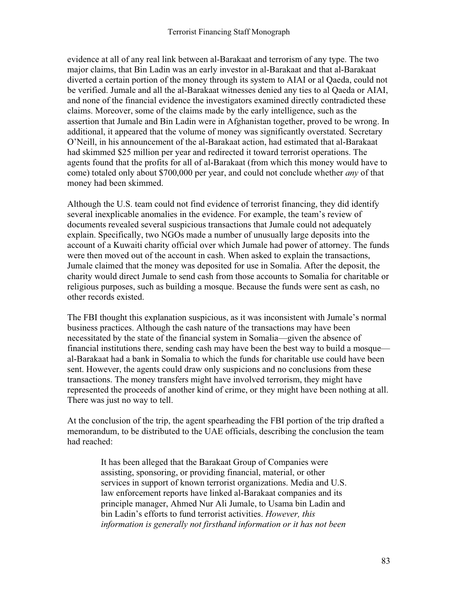evidence at all of any real link between al-Barakaat and terrorism of any type. The two major claims, that Bin Ladin was an early investor in al-Barakaat and that al-Barakaat diverted a certain portion of the money through its system to AIAI or al Qaeda, could not be verified. Jumale and all the al-Barakaat witnesses denied any ties to al Qaeda or AIAI, and none of the financial evidence the investigators examined directly contradicted these claims. Moreover, some of the claims made by the early intelligence, such as the assertion that Jumale and Bin Ladin were in Afghanistan together, proved to be wrong. In additional, it appeared that the volume of money was significantly overstated. Secretary O'Neill, in his announcement of the al-Barakaat action, had estimated that al-Barakaat had skimmed \$25 million per year and redirected it toward terrorist operations. The agents found that the profits for all of al-Barakaat (from which this money would have to come) totaled only about \$700,000 per year, and could not conclude whether *any* of that money had been skimmed.

Although the U.S. team could not find evidence of terrorist financing, they did identify several inexplicable anomalies in the evidence. For example, the team's review of documents revealed several suspicious transactions that Jumale could not adequately explain. Specifically, two NGOs made a number of unusually large deposits into the account of a Kuwaiti charity official over which Jumale had power of attorney. The funds were then moved out of the account in cash. When asked to explain the transactions, Jumale claimed that the money was deposited for use in Somalia. After the deposit, the charity would direct Jumale to send cash from those accounts to Somalia for charitable or religious purposes, such as building a mosque. Because the funds were sent as cash, no other records existed.

The FBI thought this explanation suspicious, as it was inconsistent with Jumale's normal business practices. Although the cash nature of the transactions may have been necessitated by the state of the financial system in Somalia—given the absence of financial institutions there, sending cash may have been the best way to build a mosque al-Barakaat had a bank in Somalia to which the funds for charitable use could have been sent. However, the agents could draw only suspicions and no conclusions from these transactions. The money transfers might have involved terrorism, they might have represented the proceeds of another kind of crime, or they might have been nothing at all. There was just no way to tell.

At the conclusion of the trip, the agent spearheading the FBI portion of the trip drafted a memorandum, to be distributed to the UAE officials, describing the conclusion the team had reached:

> It has been alleged that the Barakaat Group of Companies were assisting, sponsoring, or providing financial, material, or other services in support of known terrorist organizations. Media and U.S. law enforcement reports have linked al-Barakaat companies and its principle manager, Ahmed Nur Ali Jumale, to Usama bin Ladin and bin Ladin's efforts to fund terrorist activities. *However, this information is generally not firsthand information or it has not been*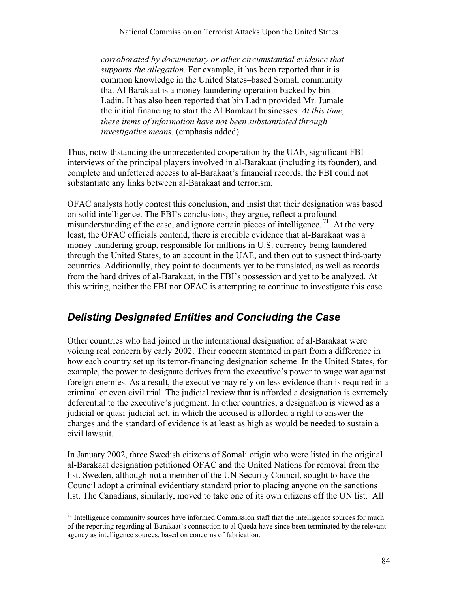National Commission on Terrorist Attacks Upon the United States

*corroborated by documentary or other circumstantial evidence that supports the allegation*. For example, it has been reported that it is common knowledge in the United States–based Somali community that Al Barakaat is a money laundering operation backed by bin Ladin. It has also been reported that bin Ladin provided Mr. Jumale the initial financing to start the Al Barakaat businesses. *At this time, these items of information have not been substantiated through investigative means.* (emphasis added)

Thus, notwithstanding the unprecedented cooperation by the UAE, significant FBI interviews of the principal players involved in al-Barakaat (including its founder), and complete and unfettered access to al-Barakaat's financial records, the FBI could not substantiate any links between al-Barakaat and terrorism.

OFAC analysts hotly contest this conclusion, and insist that their designation was based on solid intelligence. The FBI's conclusions, they argue, reflect a profound misunderstanding of the case, and ignore certain pieces of intelligence. <sup>71</sup> At the very least, the OFAC officials contend, there is credible evidence that al-Barakaat was a money-laundering group, responsible for millions in U.S. currency being laundered through the United States, to an account in the UAE, and then out to suspect third-party countries. Additionally, they point to documents yet to be translated, as well as records from the hard drives of al-Barakaat, in the FBI's possession and yet to be analyzed. At this writing, neither the FBI nor OFAC is attempting to continue to investigate this case.

#### *Delisting Designated Entities and Concluding the Case*

Other countries who had joined in the international designation of al-Barakaat were voicing real concern by early 2002. Their concern stemmed in part from a difference in how each country set up its terror-financing designation scheme. In the United States, for example, the power to designate derives from the executive's power to wage war against foreign enemies. As a result, the executive may rely on less evidence than is required in a criminal or even civil trial. The judicial review that is afforded a designation is extremely deferential to the executive's judgment. In other countries, a designation is viewed as a judicial or quasi-judicial act, in which the accused is afforded a right to answer the charges and the standard of evidence is at least as high as would be needed to sustain a civil lawsuit.

In January 2002, three Swedish citizens of Somali origin who were listed in the original al-Barakaat designation petitioned OFAC and the United Nations for removal from the list. Sweden, although not a member of the UN Security Council, sought to have the Council adopt a criminal evidentiary standard prior to placing anyone on the sanctions list. The Canadians, similarly, moved to take one of its own citizens off the UN list. All

 $71$  Intelligence community sources have informed Commission staff that the intelligence sources for much of the reporting regarding al-Barakaat's connection to al Qaeda have since been terminated by the relevant agency as intelligence sources, based on concerns of fabrication.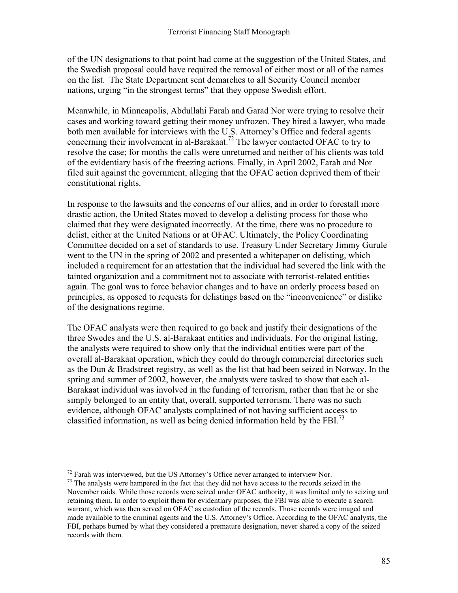of the UN designations to that point had come at the suggestion of the United States, and the Swedish proposal could have required the removal of either most or all of the names on the list. The State Department sent demarches to all Security Council member nations, urging "in the strongest terms" that they oppose Swedish effort.

Meanwhile, in Minneapolis, Abdullahi Farah and Garad Nor were trying to resolve their cases and working toward getting their money unfrozen. They hired a lawyer, who made both men available for interviews with the U.S. Attorney's Office and federal agents concerning their involvement in al-Barakaat.<sup>72</sup> The lawyer contacted OFAC to try to resolve the case; for months the calls were unreturned and neither of his clients was told of the evidentiary basis of the freezing actions. Finally, in April 2002, Farah and Nor filed suit against the government, alleging that the OFAC action deprived them of their constitutional rights.

In response to the lawsuits and the concerns of our allies, and in order to forestall more drastic action, the United States moved to develop a delisting process for those who claimed that they were designated incorrectly. At the time, there was no procedure to delist, either at the United Nations or at OFAC. Ultimately, the Policy Coordinating Committee decided on a set of standards to use. Treasury Under Secretary Jimmy Gurule went to the UN in the spring of 2002 and presented a whitepaper on delisting, which included a requirement for an attestation that the individual had severed the link with the tainted organization and a commitment not to associate with terrorist-related entities again. The goal was to force behavior changes and to have an orderly process based on principles, as opposed to requests for delistings based on the "inconvenience" or dislike of the designations regime.

The OFAC analysts were then required to go back and justify their designations of the three Swedes and the U.S. al-Barakaat entities and individuals. For the original listing, the analysts were required to show only that the individual entities were part of the overall al-Barakaat operation, which they could do through commercial directories such as the Dun & Bradstreet registry, as well as the list that had been seized in Norway. In the spring and summer of 2002, however, the analysts were tasked to show that each al-Barakaat individual was involved in the funding of terrorism, rather than that he or she simply belonged to an entity that, overall, supported terrorism. There was no such evidence, although OFAC analysts complained of not having sufficient access to classified information, as well as being denied information held by the FBI.<sup>73</sup>

 $72$  Farah was interviewed, but the US Attorney's Office never arranged to interview Nor.

<sup>&</sup>lt;sup>73</sup> The analysts were hampered in the fact that they did not have access to the records seized in the November raids. While those records were seized under OFAC authority, it was limited only to seizing and retaining them. In order to exploit them for evidentiary purposes, the FBI was able to execute a search warrant, which was then served on OFAC as custodian of the records. Those records were imaged and made available to the criminal agents and the U.S. Attorney's Office. According to the OFAC analysts, the FBI, perhaps burned by what they considered a premature designation, never shared a copy of the seized records with them.